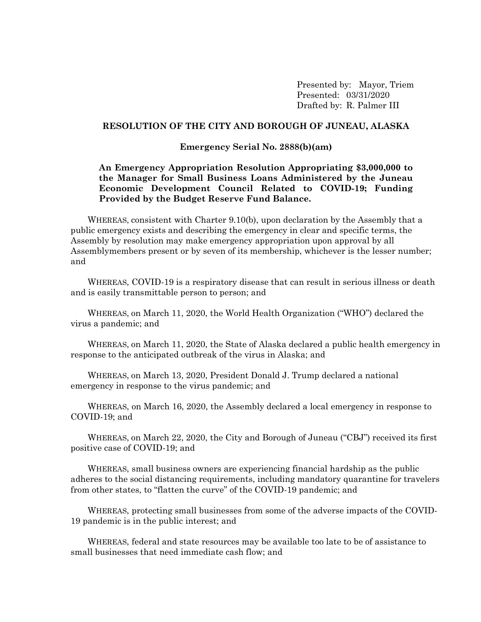Presented by: Mayor, Triem Presented: 03/31/2020 Drafted by: R. Palmer III

## **RESOLUTION OF THE CITY AND BOROUGH OF JUNEAU, ALASKA**

## **Emergency Serial No. 2888(b)(am)**

## **An Emergency Appropriation Resolution Appropriating \$3,000,000 to the Manager for Small Business Loans Administered by the Juneau Economic Development Council Related to COVID-19; Funding Provided by the Budget Reserve Fund Balance.**

WHEREAS, consistent with Charter 9.10(b), upon declaration by the Assembly that a public emergency exists and describing the emergency in clear and specific terms, the Assembly by resolution may make emergency appropriation upon approval by all Assemblymembers present or by seven of its membership, whichever is the lesser number; and

WHEREAS, COVID-19 is a respiratory disease that can result in serious illness or death and is easily transmittable person to person; and

WHEREAS, on March 11, 2020, the World Health Organization ("WHO") declared the virus a pandemic; and

WHEREAS, on March 11, 2020, the State of Alaska declared a public health emergency in response to the anticipated outbreak of the virus in Alaska; and

WHEREAS, on March 13, 2020, President Donald J. Trump declared a national emergency in response to the virus pandemic; and

WHEREAS, on March 16, 2020, the Assembly declared a local emergency in response to COVID-19; and

WHEREAS, on March 22, 2020, the City and Borough of Juneau ("CBJ") received its first positive case of COVID-19; and

WHEREAS, small business owners are experiencing financial hardship as the public adheres to the social distancing requirements, including mandatory quarantine for travelers from other states, to "flatten the curve" of the COVID-19 pandemic; and

WHEREAS, protecting small businesses from some of the adverse impacts of the COVID-19 pandemic is in the public interest; and

WHEREAS, federal and state resources may be available too late to be of assistance to small businesses that need immediate cash flow; and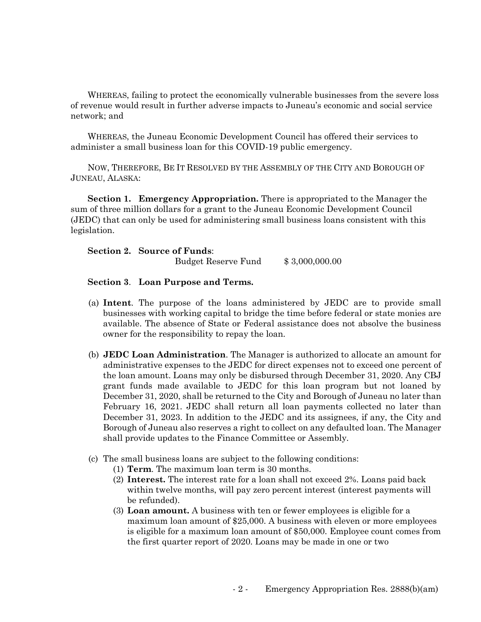WHEREAS, failing to protect the economically vulnerable businesses from the severe loss of revenue would result in further adverse impacts to Juneau's economic and social service network; and

WHEREAS, the Juneau Economic Development Council has offered their services to administer a small business loan for this COVID-19 public emergency.

NOW, THEREFORE, BE IT RESOLVED BY THE ASSEMBLY OF THE CITY AND BOROUGH OF JUNEAU, ALASKA:

**Section 1. Emergency Appropriation.** There is appropriated to the Manager the sum of three million dollars for a grant to the Juneau Economic Development Council (JEDC) that can only be used for administering small business loans consistent with this legislation.

| <b>Section 2. Source of Funds:</b> |                |
|------------------------------------|----------------|
| Budget Reserve Fund                | \$3,000,000.00 |

## **Section 3**. **Loan Purpose and Terms.**

- (a) **Intent**. The purpose of the loans administered by JEDC are to provide small businesses with working capital to bridge the time before federal or state monies are available. The absence of State or Federal assistance does not absolve the business owner for the responsibility to repay the loan.
- (b) **JEDC Loan Administration**. The Manager is authorized to allocate an amount for administrative expenses to the JEDC for direct expenses not to exceed one percent of the loan amount. Loans may only be disbursed through December 31, 2020. Any CBJ grant funds made available to JEDC for this loan program but not loaned by December 31, 2020, shall be returned to the City and Borough of Juneau no later than February 16, 2021. JEDC shall return all loan payments collected no later than December 31, 2023. In addition to the JEDC and its assignees, if any, the City and Borough of Juneau also reserves a right to collect on any defaulted loan. The Manager shall provide updates to the Finance Committee or Assembly.
- (c) The small business loans are subject to the following conditions:
	- (1) **Term**. The maximum loan term is 30 months.
	- (2) **Interest.** The interest rate for a loan shall not exceed 2%. Loans paid back within twelve months, will pay zero percent interest (interest payments will be refunded).
	- (3) **Loan amount.** A business with ten or fewer employees is eligible for a maximum loan amount of \$25,000. A business with eleven or more employees is eligible for a maximum loan amount of \$50,000. Employee count comes from the first quarter report of 2020. Loans may be made in one or two